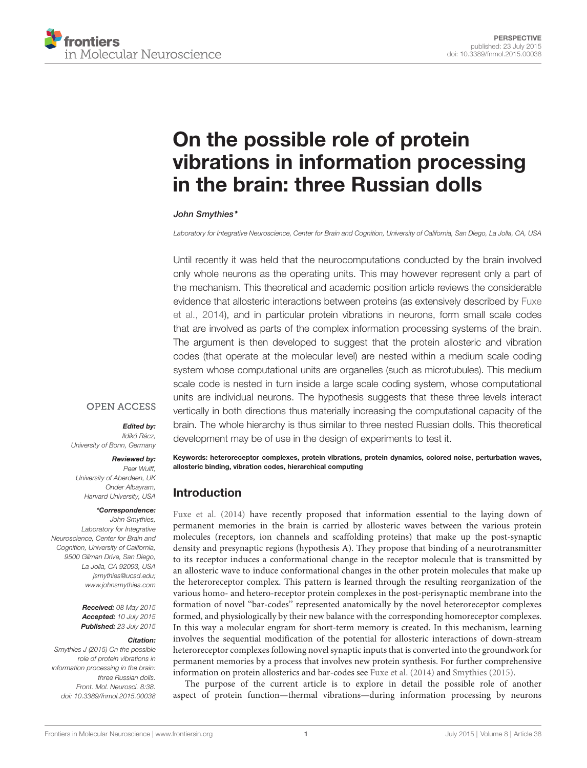

# [On the possible role of protein](http://journal.frontiersin.org/article/10.3389/fnmol.2015.00038/abstract) [vibrations in information processing](http://journal.frontiersin.org/article/10.3389/fnmol.2015.00038/abstract) [in the brain: three Russian dolls](http://journal.frontiersin.org/article/10.3389/fnmol.2015.00038/abstract)

## [John Smythies\\*](http://loop.frontiersin.org/people/52820)

Laboratory for Integrative Neuroscience, Center for Brain and Cognition, University of California, San Diego, La Jolla, CA, USA

Until recently it was held that the neurocomputations conducted by the brain involved only whole neurons as the operating units. This may however represent only a part of the mechanism. This theoretical and academic position article reviews the considerable evidence that allosteric interactions between proteins (as extensively described by [Fuxe](#page-3-0) [et al., 2014\)](#page-3-0), and in particular protein vibrations in neurons, form small scale codes that are involved as parts of the complex information processing systems of the brain. The argument is then developed to suggest that the protein allosteric and vibration codes (that operate at the molecular level) are nested within a medium scale coding system whose computational units are organelles (such as microtubules). This medium scale code is nested in turn inside a large scale coding system, whose computational units are individual neurons. The hypothesis suggests that these three levels interact vertically in both directions thus materially increasing the computational capacity of the brain. The whole hierarchy is thus similar to three nested Russian dolls. This theoretical development may be of use in the design of experiments to test it.

## **OPEN ACCESS**

### Edited by:

Ildikó Rácz, University of Bonn, Germany

#### Reviewed by:

Peer Wulff University of Aberdeen, UK Onder Albayram, Harvard University, USA

## \*Correspondence:

John Smythies, Laboratory for Integrative Neuroscience, Center for Brain and Cognition, University of California, 9500 Gilman Drive, San Diego, La Jolla, CA 92093, USA [jsmythies@ucsd.edu;](mailto:jsmythies@ucsd.edu) [www.johnsmythies.com](http://www.johnsmythies.com)

> Received: 08 May 2015 Accepted: 10 July 2015 Published: 23 July 2015

### Citation:

Smythies J (2015) On the possible role of protein vibrations in information processing in the brain: three Russian dolls. Front. Mol. Neurosci. 8:38. [doi: 10.3389/fnmol.2015.00038](http://dx.doi.org/10.3389/fnmol.2015.00038) Keywords: heteroreceptor complexes, protein vibrations, protein dynamics, colored noise, perturbation waves, allosteric binding, vibration codes, hierarchical computing

## Introduction

[Fuxe et al.](#page-3-0) [\(2014\)](#page-3-0) have recently proposed that information essential to the laying down of permanent memories in the brain is carried by allosteric waves between the various protein molecules (receptors, ion channels and scaffolding proteins) that make up the post-synaptic density and presynaptic regions (hypothesis A). They propose that binding of a neurotransmitter to its receptor induces a conformational change in the receptor molecule that is transmitted by an allosteric wave to induce conformational changes in the other protein molecules that make up the heteroreceptor complex. This pattern is learned through the resulting reorganization of the various homo- and hetero-receptor protein complexes in the post-perisynaptic membrane into the formation of novel ''bar-codes'' represented anatomically by the novel heteroreceptor complexes formed, and physiologically by their new balance with the corresponding homoreceptor complexes. In this way a molecular engram for short-term memory is created. In this mechanism, learning involves the sequential modification of the potential for allosteric interactions of down-stream heteroreceptor complexes following novel synaptic inputs that is converted into the groundwork for permanent memories by a process that involves new protein synthesis. For further comprehensive information on protein allosterics and bar-codes see [Fuxe et al.](#page-3-0) [\(2014\)](#page-3-0) and [Smythies](#page-3-1) [\(2015\)](#page-3-1).

The purpose of the current article is to explore in detail the possible role of another aspect of protein function—thermal vibrations—during information processing by neurons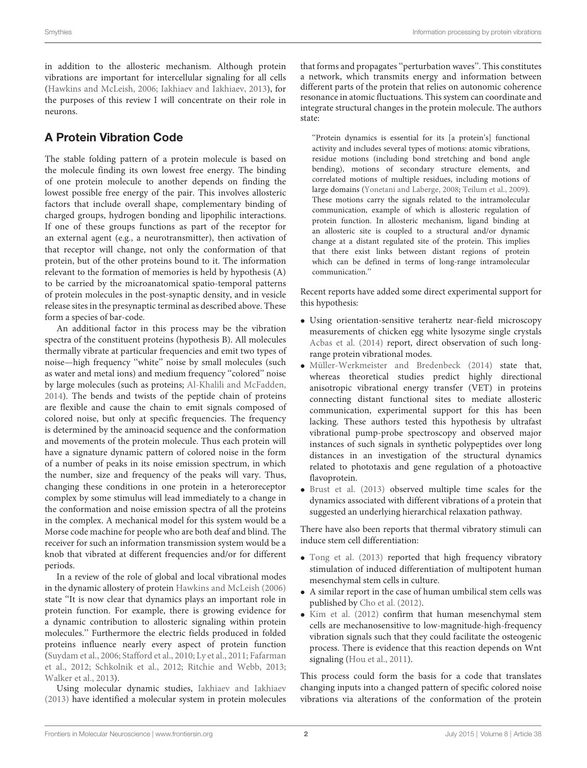in addition to the allosteric mechanism. Although protein vibrations are important for intercellular signaling for all cells [\(Hawkins and McLeish,](#page-3-2) [2006;](#page-3-2) [Iakhiaev and Iakhiaev,](#page-3-3) [2013\)](#page-3-3), for the purposes of this review I will concentrate on their role in neurons.

# A Protein Vibration Code

The stable folding pattern of a protein molecule is based on the molecule finding its own lowest free energy. The binding of one protein molecule to another depends on finding the lowest possible free energy of the pair. This involves allosteric factors that include overall shape, complementary binding of charged groups, hydrogen bonding and lipophilic interactions. If one of these groups functions as part of the receptor for an external agent (e.g., a neurotransmitter), then activation of that receptor will change, not only the conformation of that protein, but of the other proteins bound to it. The information relevant to the formation of memories is held by hypothesis (A) to be carried by the microanatomical spatio-temporal patterns of protein molecules in the post-synaptic density, and in vesicle release sites in the presynaptic terminal as described above. These form a species of bar-code.

An additional factor in this process may be the vibration spectra of the constituent proteins (hypothesis B). All molecules thermally vibrate at particular frequencies and emit two types of noise—high frequency ''white'' noise by small molecules (such as water and metal ions) and medium frequency "colored" noise by large molecules (such as proteins; [Al-Khalili and McFadden,](#page-3-4) [2014\)](#page-3-4). The bends and twists of the peptide chain of proteins are flexible and cause the chain to emit signals composed of colored noise, but only at specific frequencies. The frequency is determined by the aminoacid sequence and the conformation and movements of the protein molecule. Thus each protein will have a signature dynamic pattern of colored noise in the form of a number of peaks in its noise emission spectrum, in which the number, size and frequency of the peaks will vary. Thus, changing these conditions in one protein in a heteroreceptor complex by some stimulus will lead immediately to a change in the conformation and noise emission spectra of all the proteins in the complex. A mechanical model for this system would be a Morse code machine for people who are both deaf and blind. The receiver for such an information transmission system would be a knob that vibrated at different frequencies and/or for different periods.

In a review of the role of global and local vibrational modes in the dynamic allostery of protein [Hawkins and McLeish](#page-3-2) [\(2006\)](#page-3-2) state ''It is now clear that dynamics plays an important role in protein function. For example, there is growing evidence for a dynamic contribution to allosteric signaling within protein molecules.'' Furthermore the electric fields produced in folded proteins influence nearly every aspect of protein function [\(Suydam et al.,](#page-3-5) [2006;](#page-3-5) [Stafford et al.,](#page-3-6) [2010;](#page-3-6) [Ly et al.,](#page-3-7) [2011;](#page-3-7) [Fafarman](#page-3-8) [et al.,](#page-3-8) [2012;](#page-3-8) [Schkolnik et al.,](#page-3-9) [2012;](#page-3-9) [Ritchie and Webb,](#page-3-10) [2013;](#page-3-10) [Walker et al.,](#page-3-11) [2013\)](#page-3-11).

Using molecular dynamic studies, [Iakhiaev and Iakhiaev](#page-3-3) [\(2013\)](#page-3-3) have identified a molecular system in protein molecules that forms and propagates ''perturbation waves''. This constitutes a network, which transmits energy and information between different parts of the protein that relies on autonomic coherence resonance in atomic fluctuations. This system can coordinate and integrate structural changes in the protein molecule. The authors state:

''Protein dynamics is essential for its [a protein's] functional activity and includes several types of motions: atomic vibrations, residue motions (including bond stretching and bond angle bending), motions of secondary structure elements, and correlated motions of multiple residues, including motions of large domains [\(Yonetani and Laberge,](#page-3-12) [2008;](#page-3-12) [Teilum et al.,](#page-3-13) [2009\)](#page-3-13). These motions carry the signals related to the intramolecular communication, example of which is allosteric regulation of protein function. In allosteric mechanism, ligand binding at an allosteric site is coupled to a structural and/or dynamic change at a distant regulated site of the protein. This implies that there exist links between distant regions of protein which can be defined in terms of long-range intramolecular communication.''

Recent reports have added some direct experimental support for this hypothesis:

- Using orientation-sensitive terahertz near-field microscopy measurements of chicken egg white lysozyme single crystals [Acbas et al.](#page-3-14) [\(2014\)](#page-3-14) report, direct observation of such longrange protein vibrational modes.
- [Müller-Werkmeister and Bredenbeck](#page-3-15) [\(2014\)](#page-3-15) state that, whereas theoretical studies predict highly directional anisotropic vibrational energy transfer (VET) in proteins connecting distant functional sites to mediate allosteric communication, experimental support for this has been lacking. These authors tested this hypothesis by ultrafast vibrational pump-probe spectroscopy and observed major instances of such signals in synthetic polypeptides over long distances in an investigation of the structural dynamics related to phototaxis and gene regulation of a photoactive flavoprotein.
- [Brust et al.](#page-3-16) [\(2013\)](#page-3-16) observed multiple time scales for the dynamics associated with different vibrations of a protein that suggested an underlying hierarchical relaxation pathway.

There have also been reports that thermal vibratory stimuli can induce stem cell differentiation:

- [Tong et al.](#page-3-17) [\(2013\)](#page-3-17) reported that high frequency vibratory stimulation of induced differentiation of multipotent human mesenchymal stem cells in culture.
- A similar report in the case of human umbilical stem cells was published by [Cho et al.](#page-3-18) [\(2012\)](#page-3-18).
- [Kim et al.](#page-3-19) [\(2012\)](#page-3-19) confirm that human mesenchymal stem cells are mechanosensitive to low-magnitude-high-frequency vibration signals such that they could facilitate the osteogenic process. There is evidence that this reaction depends on Wnt signaling [\(Hou et al.,](#page-3-20) [2011\)](#page-3-20).

This process could form the basis for a code that translates changing inputs into a changed pattern of specific colored noise vibrations via alterations of the conformation of the protein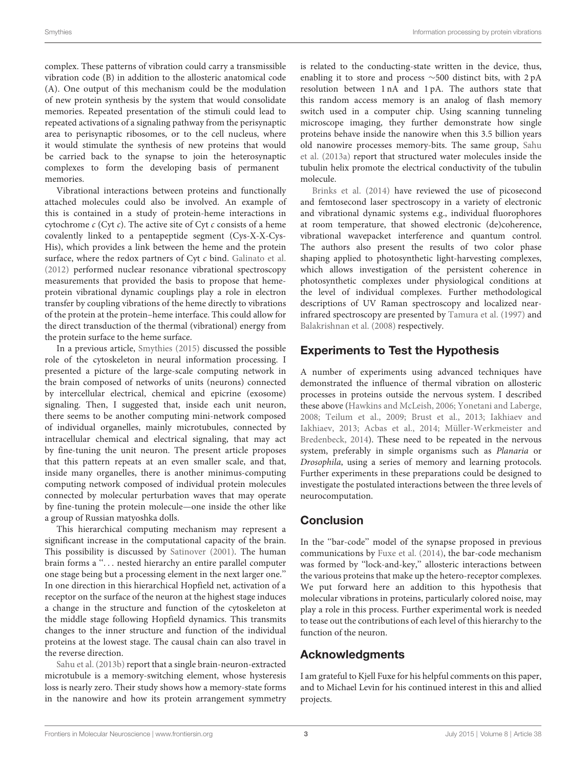complex. These patterns of vibration could carry a transmissible vibration code (B) in addition to the allosteric anatomical code (A). One output of this mechanism could be the modulation of new protein synthesis by the system that would consolidate memories. Repeated presentation of the stimuli could lead to repeated activations of a signaling pathway from the perisynaptic area to perisynaptic ribosomes, or to the cell nucleus, where it would stimulate the synthesis of new proteins that would be carried back to the synapse to join the heterosynaptic complexes to form the developing basis of permanent memories.

Vibrational interactions between proteins and functionally attached molecules could also be involved. An example of this is contained in a study of protein-heme interactions in cytochrome  $c$  (Cyt  $c$ ). The active site of Cyt  $c$  consists of a heme covalently linked to a pentapeptide segment (Cys-X-X-Cys-His), which provides a link between the heme and the protein surface, where the redox partners of Cyt  $c$  bind. [Galinato et al.](#page-3-21) [\(2012\)](#page-3-21) performed nuclear resonance vibrational spectroscopy measurements that provided the basis to propose that hemeprotein vibrational dynamic couplings play a role in electron transfer by coupling vibrations of the heme directly to vibrations of the protein at the protein–heme interface. This could allow for the direct transduction of the thermal (vibrational) energy from the protein surface to the heme surface.

In a previous article, [Smythies](#page-3-1) [\(2015\)](#page-3-1) discussed the possible role of the cytoskeleton in neural information processing. I presented a picture of the large-scale computing network in the brain composed of networks of units (neurons) connected by intercellular electrical, chemical and epicrine (exosome) signaling. Then, I suggested that, inside each unit neuron, there seems to be another computing mini-network composed of individual organelles, mainly microtubules, connected by intracellular chemical and electrical signaling, that may act by fine-tuning the unit neuron. The present article proposes that this pattern repeats at an even smaller scale, and that, inside many organelles, there is another minimus-computing computing network composed of individual protein molecules connected by molecular perturbation waves that may operate by fine-tuning the protein molecule—one inside the other like a group of Russian matyoshka dolls.

This hierarchical computing mechanism may represent a significant increase in the computational capacity of the brain. This possibility is discussed by [Satinover](#page-3-22) [\(2001\)](#page-3-22). The human brain forms a "... nested hierarchy an entire parallel computer one stage being but a processing element in the next larger one.'' In one direction in this hierarchical Hopfield net, activation of a receptor on the surface of the neuron at the highest stage induces a change in the structure and function of the cytoskeleton at the middle stage following Hopfield dynamics. This transmits changes to the inner structure and function of the individual proteins at the lowest stage. The causal chain can also travel in the reverse direction.

[Sahu et al.](#page-3-23) [\(2013b\)](#page-3-23) report that a single brain-neuron-extracted microtubule is a memory-switching element, whose hysteresis loss is nearly zero. Their study shows how a memory-state forms in the nanowire and how its protein arrangement symmetry is related to the conducting-state written in the device, thus, enabling it to store and process ∼500 distinct bits, with 2 pA resolution between 1 nA and 1 pA. The authors state that this random access memory is an analog of flash memory switch used in a computer chip. Using scanning tunneling microscope imaging, they further demonstrate how single proteins behave inside the nanowire when this 3.5 billion years old nanowire processes memory-bits. The same group, [Sahu](#page-3-24) [et al.](#page-3-24) [\(2013a\)](#page-3-24) report that structured water molecules inside the tubulin helix promote the electrical conductivity of the tubulin molecule.

[Brinks et al.](#page-3-25) [\(2014\)](#page-3-25) have reviewed the use of picosecond and femtosecond laser spectroscopy in a variety of electronic and vibrational dynamic systems e.g., individual fluorophores at room temperature, that showed electronic (de)coherence, vibrational wavepacket interference and quantum control. The authors also present the results of two color phase shaping applied to photosynthetic light-harvesting complexes, which allows investigation of the persistent coherence in photosynthetic complexes under physiological conditions at the level of individual complexes. Further methodological descriptions of UV Raman spectroscopy and localized nearinfrared spectroscopy are presented by [Tamura et al.](#page-3-26) [\(1997\)](#page-3-26) and [Balakrishnan et al.](#page-3-27) [\(2008\)](#page-3-27) respectively.

# Experiments to Test the Hypothesis

A number of experiments using advanced techniques have demonstrated the influence of thermal vibration on allosteric processes in proteins outside the nervous system. I described these above [\(Hawkins and McLeish,](#page-3-2) [2006;](#page-3-2) [Yonetani and Laberge,](#page-3-12) [2008;](#page-3-12) [Teilum et al.,](#page-3-13) [2009;](#page-3-13) [Brust et al.,](#page-3-16) [2013;](#page-3-16) [Iakhiaev and](#page-3-3) [Iakhiaev,](#page-3-3) [2013;](#page-3-3) [Acbas et al.,](#page-3-14) [2014;](#page-3-14) [Müller-Werkmeister and](#page-3-15) [Bredenbeck,](#page-3-15) [2014\)](#page-3-15). These need to be repeated in the nervous system, preferably in simple organisms such as Planaria or Drosophila, using a series of memory and learning protocols. Further experiments in these preparations could be designed to investigate the postulated interactions between the three levels of neurocomputation.

# Conclusion

In the ''bar-code'' model of the synapse proposed in previous communications by [Fuxe et al.](#page-3-0) [\(2014\)](#page-3-0), the bar-code mechanism was formed by ''lock-and-key,'' allosteric interactions between the various proteins that make up the hetero-receptor complexes. We put forward here an addition to this hypothesis that molecular vibrations in proteins, particularly colored noise, may play a role in this process. Further experimental work is needed to tease out the contributions of each level of this hierarchy to the function of the neuron.

# Acknowledgments

I am grateful to Kjell Fuxe for his helpful comments on this paper, and to Michael Levin for his continued interest in this and allied projects.